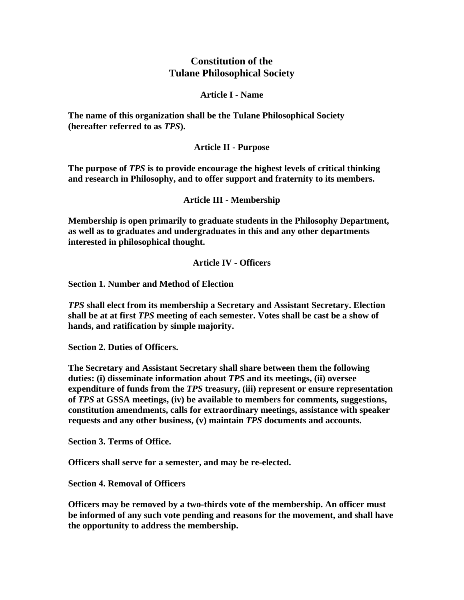# **Constitution of the Tulane Philosophical Society**

#### **Article I - Name**

**The name of this organization shall be the Tulane Philosophical Society (hereafter referred to as** *TPS***).** 

# **Article II - Purpose**

**The purpose of** *TPS* **is to provide encourage the highest levels of critical thinking and research in Philosophy, and to offer support and fraternity to its members.** 

#### **Article III - Membership**

**Membership is open primarily to graduate students in the Philosophy Department, as well as to graduates and undergraduates in this and any other departments interested in philosophical thought.** 

#### **Article IV - Officers**

**Section 1. Number and Method of Election** 

*TPS* **shall elect from its membership a Secretary and Assistant Secretary. Election shall be at at first** *TPS* **meeting of each semester. Votes shall be cast be a show of hands, and ratification by simple majority.** 

**Section 2. Duties of Officers.** 

**The Secretary and Assistant Secretary shall share between them the following duties: (i) disseminate information about** *TPS* **and its meetings, (ii) oversee expenditure of funds from the** *TPS* **treasury, (iii) represent or ensure representation of** *TPS* **at GSSA meetings, (iv) be available to members for comments, suggestions, constitution amendments, calls for extraordinary meetings, assistance with speaker requests and any other business, (v) maintain** *TPS* **documents and accounts.** 

**Section 3. Terms of Office.** 

**Officers shall serve for a semester, and may be re-elected.** 

**Section 4. Removal of Officers** 

**Officers may be removed by a two-thirds vote of the membership. An officer must be informed of any such vote pending and reasons for the movement, and shall have the opportunity to address the membership.**